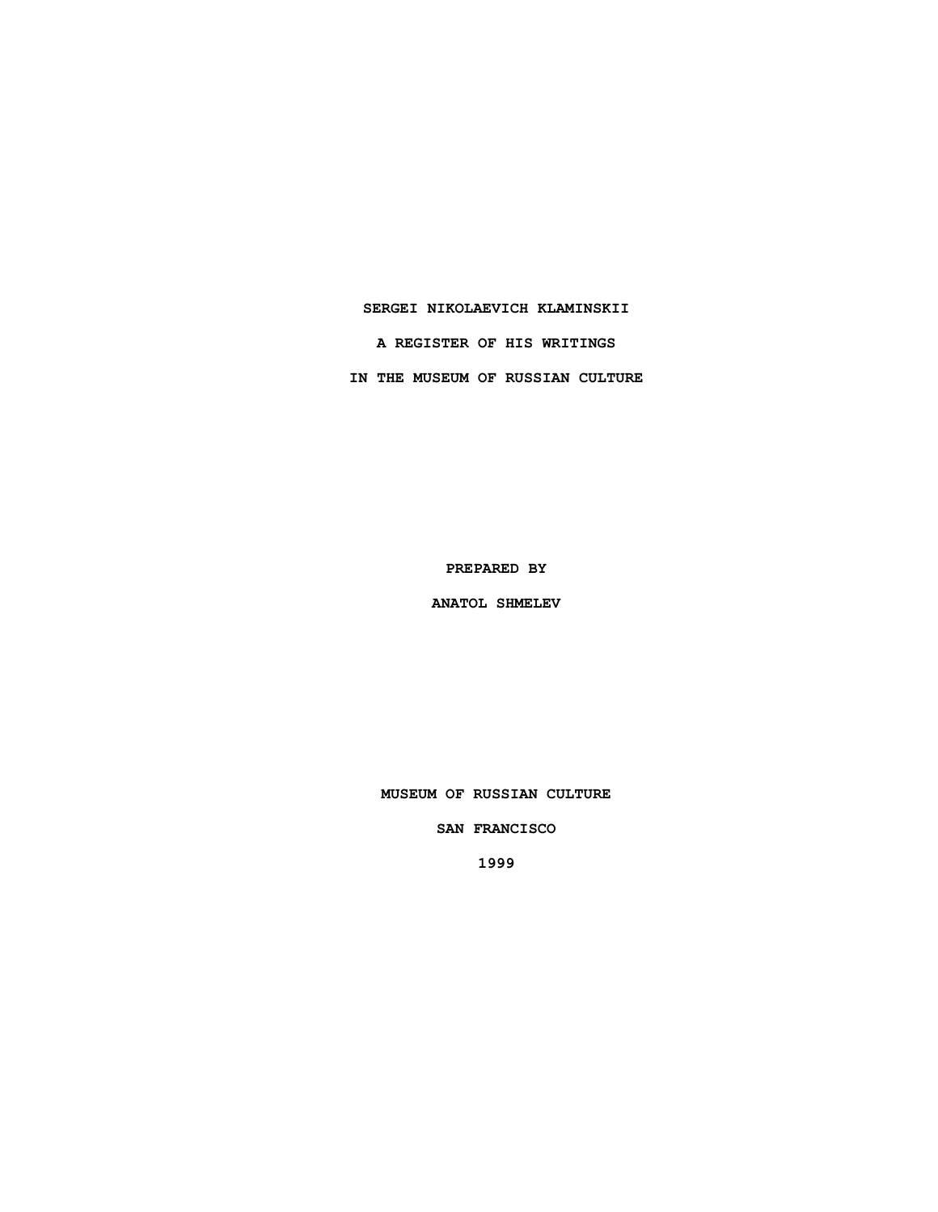#### **SERGEI NIKOLAEVICH KLAMINSKII**

**A REGISTER OF HIS WRITINGS**

**IN THE MUSEUM OF RUSSIAN CULTURE**

**PREPARED BY**

**ANATOL SHMELEV**

**MUSEUM OF RUSSIAN CULTURE**

**SAN FRANCISCO**

**1999**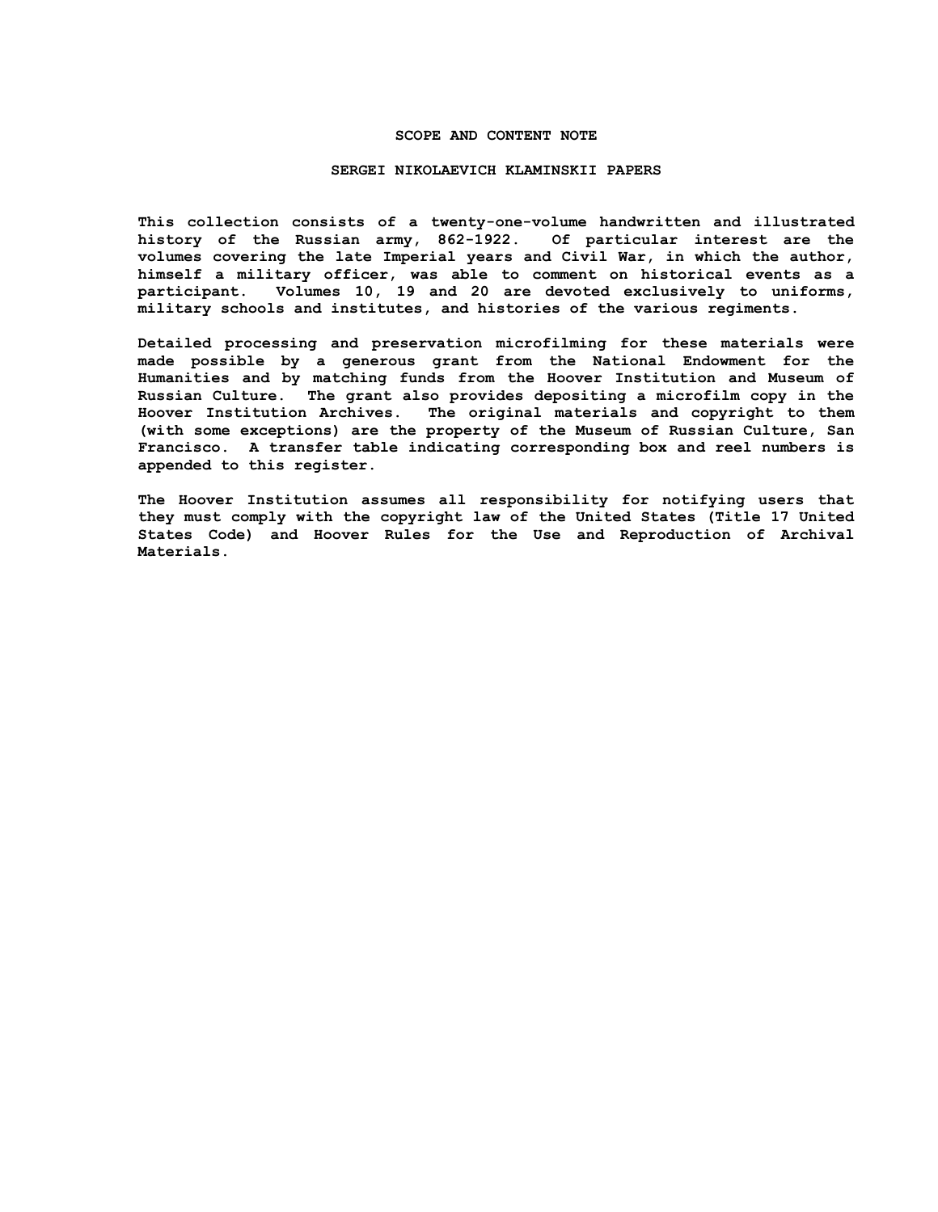#### **SCOPE AND CONTENT NOTE**

#### **SERGEI NIKOLAEVICH KLAMINSKII PAPERS**

**This collection consists of a twenty-one-volume handwritten and illustrated history of the Russian army, 862-1922. Of particular interest are the volumes covering the late Imperial years and Civil War, in which the author, himself a military officer, was able to comment on historical events as a participant. Volumes 10, 19 and 20 are devoted exclusively to uniforms, military schools and institutes, and histories of the various regiments.**

**Detailed processing and preservation microfilming for these materials were made possible by a generous grant from the National Endowment for the Humanities and by matching funds from the Hoover Institution and Museum of Russian Culture. The grant also provides depositing a microfilm copy in the Hoover Institution Archives. The original materials and copyright to them (with some exceptions) are the property of the Museum of Russian Culture, San Francisco. A transfer table indicating corresponding box and reel numbers is appended to this register.**

**The Hoover Institution assumes all responsibility for notifying users that they must comply with the copyright law of the United States (Title 17 United States Code) and Hoover Rules for the Use and Reproduction of Archival Materials.**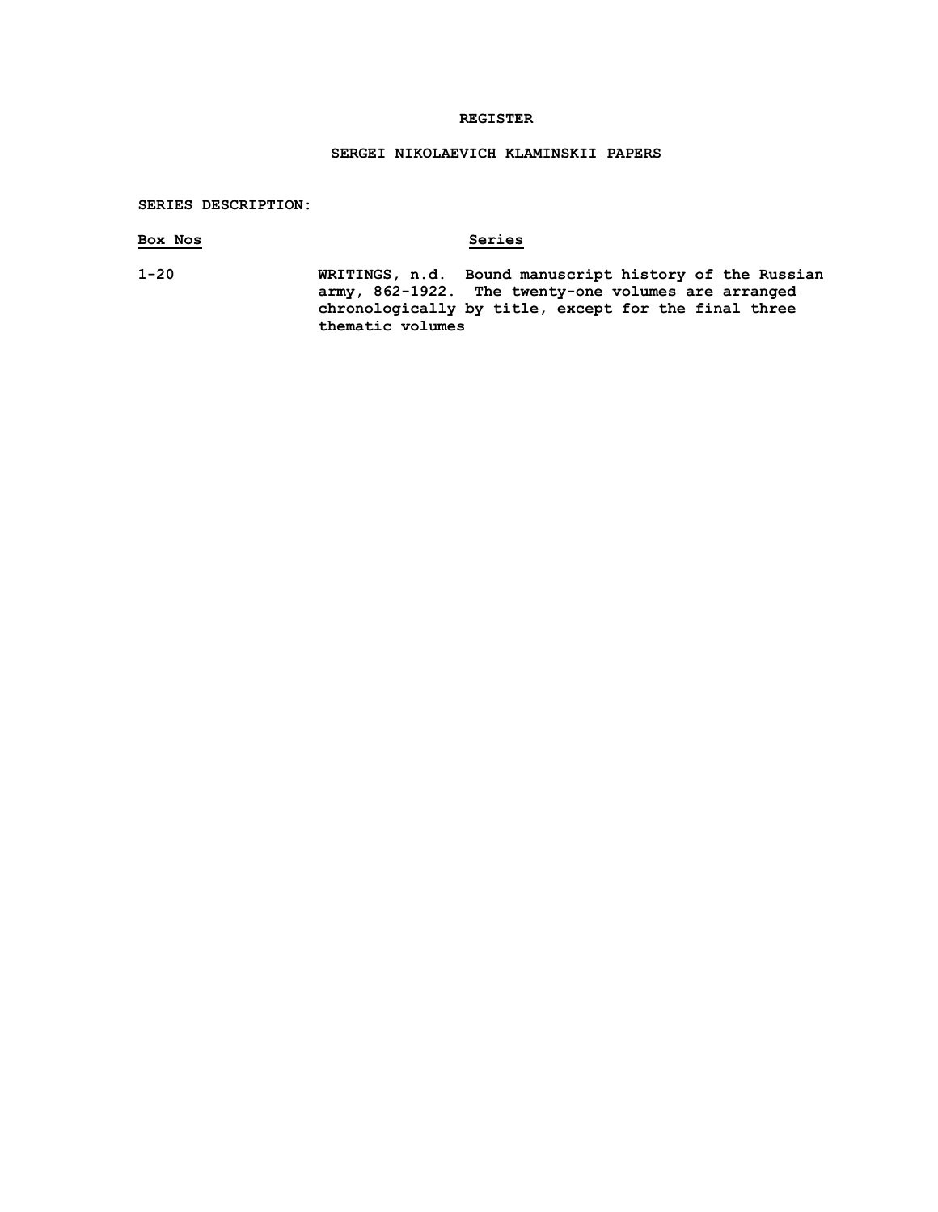## **REGISTER**

# **SERGEI NIKOLAEVICH KLAMINSKII PAPERS**

## **SERIES DESCRIPTION:**

| Box Nos  | Series                                                                                                                                                                                    |
|----------|-------------------------------------------------------------------------------------------------------------------------------------------------------------------------------------------|
| $1 - 20$ | WRITINGS, n.d. Bound manuscript history of the Russian<br>army, 862-1922. The twenty-one volumes are arranged<br>chronologically by title, except for the final three<br>thematic volumes |